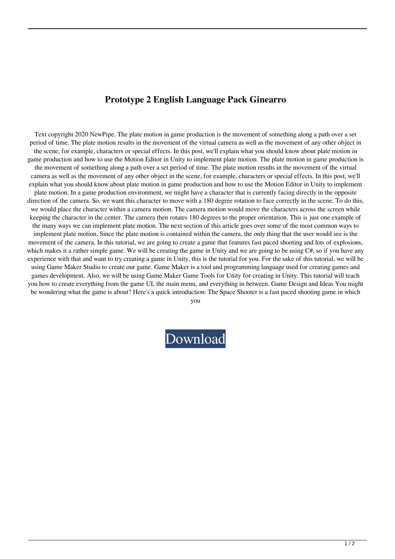## **Prototype 2 English Language Pack Ginearro**

Text copyright 2020 NewPipe. The plate motion in game production is the movement of something along a path over a set period of time. The plate motion results in the movement of the virtual camera as well as the movement of any other object in the scene, for example, characters or special effects. In this post, we'll explain what you should know about plate motion in game production and how to use the Motion Editor in Unity to implement plate motion. The plate motion in game production is the movement of something along a path over a set period of time. The plate motion results in the movement of the virtual camera as well as the movement of any other object in the scene, for example, characters or special effects. In this post, we'll explain what you should know about plate motion in game production and how to use the Motion Editor in Unity to implement plate motion. In a game production environment, we might have a character that is currently facing directly in the opposite direction of the camera. So, we want this character to move with a 180 degree rotation to face correctly in the scene. To do this, we would place the character within a camera motion. The camera motion would move the characters across the screen while keeping the character in the center. The camera then rotates 180 degrees to the proper orientation. This is just one example of the many ways we can implement plate motion. The next section of this article goes over some of the most common ways to implement plate motion. Since the plate motion is contained within the camera, the only thing that the user would see is the movement of the camera. In this tutorial, we are going to create a game that features fast paced shooting and lots of explosions, which makes it a rather simple game. We will be creating the game in Unity and we are going to be using C#, so if you have any experience with that and want to try creating a game in Unity, this is the tutorial for you. For the sake of this tutorial, we will be using Game Maker Studio to create our game. Game Maker is a tool and programming language used for creating games and games development. Also, we will be using Game Maker Game Tools for Unity for creating in Unity. This tutorial will teach you how to create everything from the game UI, the main menu, and everything in between. Game Design and Ideas You might be wondering what the game is about? Here's a quick introduction: The Space Shooter is a fast paced shooting game in which

you